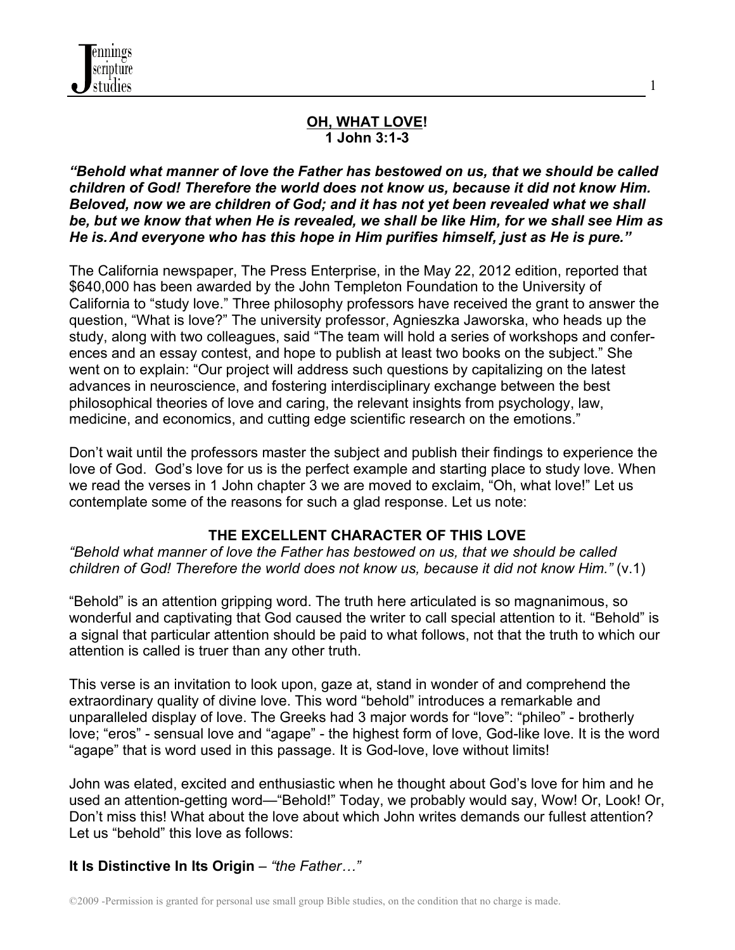

#### **OH, WHAT LOVE! 1 John 3:1-3**

1

*"Behold what manner of love the Father has bestowed on us, that we should be called children of God! Therefore the world does not know us, because it did not know Him. Beloved, now we are children of God; and it has not yet been revealed what we shall be, but we know that when He is revealed, we shall be like Him, for we shall see Him as He is.And everyone who has this hope in Him purifies himself, just as He is pure."*

The California newspaper, The Press Enterprise, in the May 22, 2012 edition, reported that \$640,000 has been awarded by the John Templeton Foundation to the University of California to "study love." Three philosophy professors have received the grant to answer the question, "What is love?" The university professor, Agnieszka Jaworska, who heads up the study, along with two colleagues, said "The team will hold a series of workshops and conferences and an essay contest, and hope to publish at least two books on the subject." She went on to explain: "Our project will address such questions by capitalizing on the latest advances in neuroscience, and fostering interdisciplinary exchange between the best philosophical theories of love and caring, the relevant insights from psychology, law, medicine, and economics, and cutting edge scientific research on the emotions."

Don't wait until the professors master the subject and publish their findings to experience the love of God. God's love for us is the perfect example and starting place to study love. When we read the verses in 1 John chapter 3 we are moved to exclaim, "Oh, what love!" Let us contemplate some of the reasons for such a glad response. Let us note:

### **THE EXCELLENT CHARACTER OF THIS LOVE**

*"Behold what manner of love the Father has bestowed on us, that we should be called children of God! Therefore the world does not know us, because it did not know Him."* (v.1)

"Behold" is an attention gripping word. The truth here articulated is so magnanimous, so wonderful and captivating that God caused the writer to call special attention to it. "Behold" is a signal that particular attention should be paid to what follows, not that the truth to which our attention is called is truer than any other truth.

This verse is an invitation to look upon, gaze at, stand in wonder of and comprehend the extraordinary quality of divine love. This word "behold" introduces a remarkable and unparalleled display of love. The Greeks had 3 major words for "love": "phileo" - brotherly love; "eros" - sensual love and "agape" - the highest form of love, God-like love. It is the word "agape" that is word used in this passage. It is God-love, love without limits!

John was elated, excited and enthusiastic when he thought about God's love for him and he used an attention-getting word—"Behold!" Today, we probably would say, Wow! Or, Look! Or, Don't miss this! What about the love about which John writes demands our fullest attention? Let us "behold" this love as follows:

#### **It Is Distinctive In Its Origin** – *"the Father…"*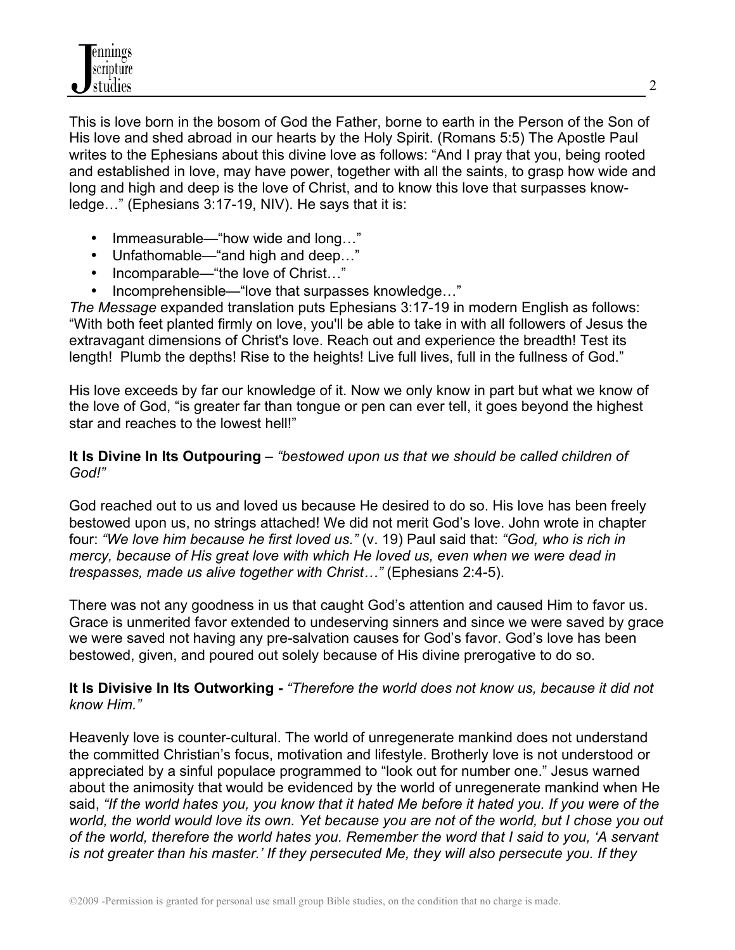This is love born in the bosom of God the Father, borne to earth in the Person of the Son of His love and shed abroad in our hearts by the Holy Spirit. (Romans 5:5) The Apostle Paul writes to the Ephesians about this divine love as follows: "And I pray that you, being rooted and established in love, may have power, together with all the saints, to grasp how wide and long and high and deep is the love of Christ, and to know this love that surpasses knowledge…" (Ephesians 3:17-19, NIV). He says that it is:

- Immeasurable—"how wide and long..."
- Unfathomable—"and high and deep…"
- Incomparable—"the love of Christ..."
- Incomprehensible—"love that surpasses knowledge…"

*The Message* expanded translation puts Ephesians 3:17-19 in modern English as follows: "With both feet planted firmly on love, you'll be able to take in with all followers of Jesus the extravagant dimensions of Christ's love. Reach out and experience the breadth! Test its length! Plumb the depths! Rise to the heights! Live full lives, full in the fullness of God."

His love exceeds by far our knowledge of it. Now we only know in part but what we know of the love of God, "is greater far than tongue or pen can ever tell, it goes beyond the highest star and reaches to the lowest hell!"

### **It Is Divine In Its Outpouring** – *"bestowed upon us that we should be called children of God!"*

God reached out to us and loved us because He desired to do so. His love has been freely bestowed upon us, no strings attached! We did not merit God's love. John wrote in chapter four: *"We love him because he first loved us."* (v. 19) Paul said that: *"God, who is rich in mercy, because of His great love with which He loved us, even when we were dead in trespasses, made us alive together with Christ…"* (Ephesians 2:4-5).

There was not any goodness in us that caught God's attention and caused Him to favor us. Grace is unmerited favor extended to undeserving sinners and since we were saved by grace we were saved not having any pre-salvation causes for God's favor. God's love has been bestowed, given, and poured out solely because of His divine prerogative to do so.

#### **It Is Divisive In Its Outworking -** *"Therefore the world does not know us, because it did not know Him."*

Heavenly love is counter-cultural. The world of unregenerate mankind does not understand the committed Christian's focus, motivation and lifestyle. Brotherly love is not understood or appreciated by a sinful populace programmed to "look out for number one." Jesus warned about the animosity that would be evidenced by the world of unregenerate mankind when He said, *"If the world hates you, you know that it hated Me before it hated you. If you were of the world, the world would love its own. Yet because you are not of the world, but I chose you out of the world, therefore the world hates you. Remember the word that I said to you, 'A servant is not greater than his master.' If they persecuted Me, they will also persecute you. If they*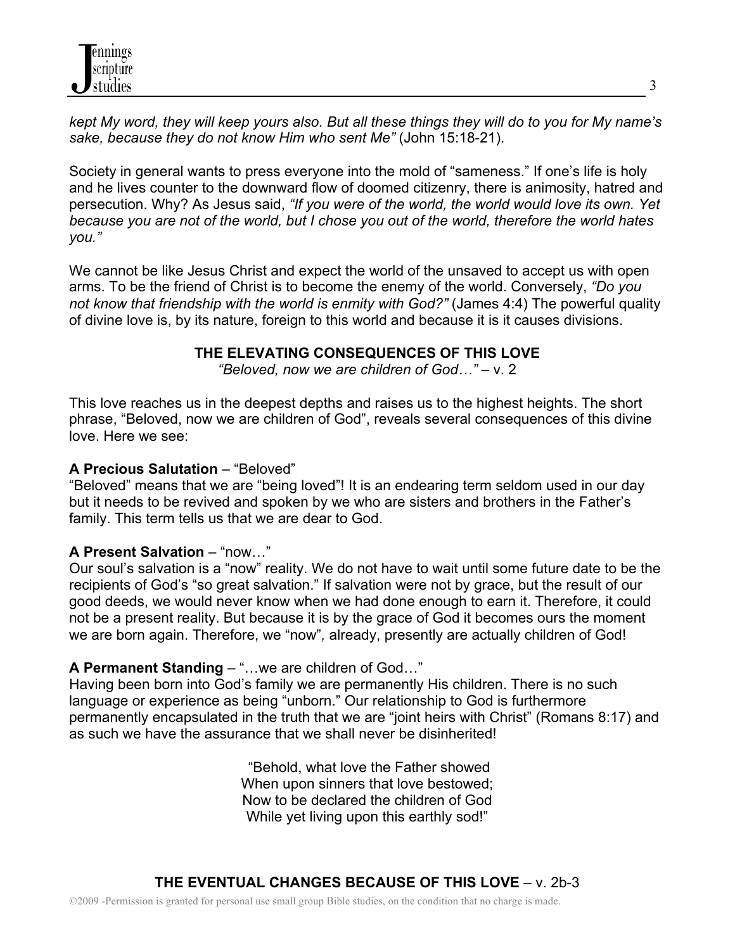*kept My word, they will keep yours also. But all these things they will do to you for My name's sake, because they do not know Him who sent Me"* (John 15:18-21).

Society in general wants to press everyone into the mold of "sameness." If one's life is holy and he lives counter to the downward flow of doomed citizenry, there is animosity, hatred and persecution. Why? As Jesus said, *"If you were of the world, the world would love its own. Yet because you are not of the world, but I chose you out of the world, therefore the world hates you."*

We cannot be like Jesus Christ and expect the world of the unsaved to accept us with open arms. To be the friend of Christ is to become the enemy of the world. Conversely, *"Do you not know that friendship with the world is enmity with God?"* (James 4:4) The powerful quality of divine love is, by its nature, foreign to this world and because it is it causes divisions.

# **THE ELEVATING CONSEQUENCES OF THIS LOVE**

*"Beloved, now we are children of God…"* – v. 2

This love reaches us in the deepest depths and raises us to the highest heights. The short phrase, "Beloved, now we are children of God", reveals several consequences of this divine love. Here we see:

# **A Precious Salutation** – "Beloved"

"Beloved" means that we are "being loved"! It is an endearing term seldom used in our day but it needs to be revived and spoken by we who are sisters and brothers in the Father's family. This term tells us that we are dear to God.

#### **A Present Salvation** – "now…"

Our soul's salvation is a "now" reality. We do not have to wait until some future date to be the recipients of God's "so great salvation." If salvation were not by grace, but the result of our good deeds, we would never know when we had done enough to earn it. Therefore, it could not be a present reality. But because it is by the grace of God it becomes ours the moment we are born again. Therefore, we "now"*,* already, presently are actually children of God!

# **A Permanent Standing** – "…we are children of God…"

Having been born into God's family we are permanently His children. There is no such language or experience as being "unborn." Our relationship to God is furthermore permanently encapsulated in the truth that we are "joint heirs with Christ" (Romans 8:17) and as such we have the assurance that we shall never be disinherited!

> "Behold, what love the Father showed When upon sinners that love bestowed: Now to be declared the children of God While yet living upon this earthly sod!"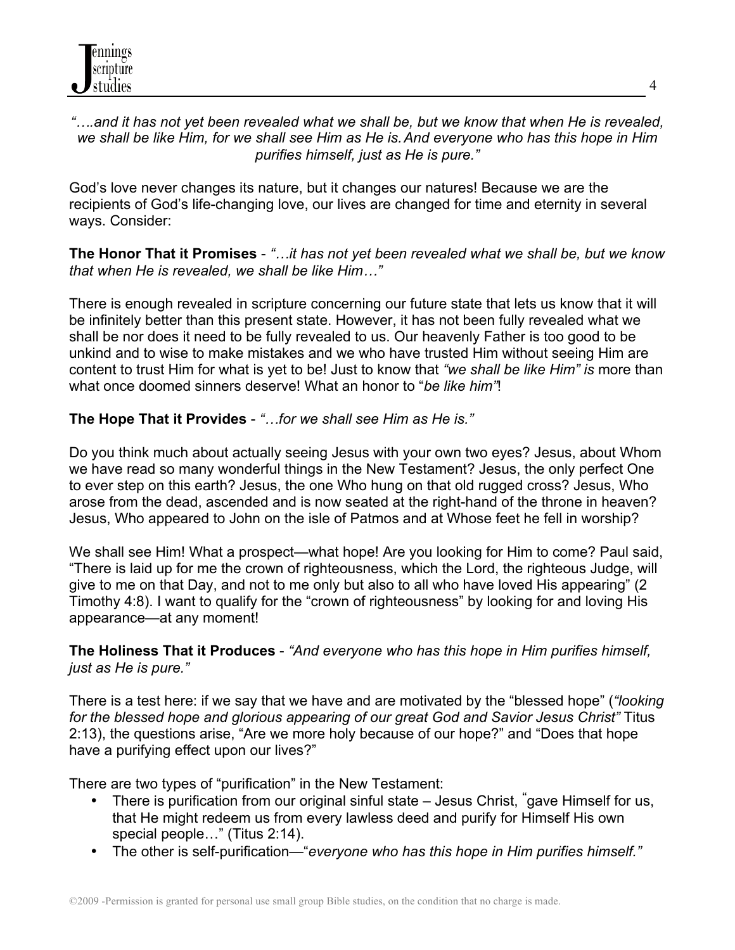# *"….and it has not yet been revealed what we shall be, but we know that when He is revealed, we shall be like Him, for we shall see Him as He is.And everyone who has this hope in Him purifies himself, just as He is pure."*

God's love never changes its nature, but it changes our natures! Because we are the recipients of God's life-changing love, our lives are changed for time and eternity in several ways. Consider:

**The Honor That it Promises** - *"…it has not yet been revealed what we shall be, but we know that when He is revealed, we shall be like Him…"*

There is enough revealed in scripture concerning our future state that lets us know that it will be infinitely better than this present state. However, it has not been fully revealed what we shall be nor does it need to be fully revealed to us. Our heavenly Father is too good to be unkind and to wise to make mistakes and we who have trusted Him without seeing Him are content to trust Him for what is yet to be! Just to know that *"we shall be like Him" is* more than what once doomed sinners deserve! What an honor to "*be like him"*!

# **The Hope That it Provides** - *"…for we shall see Him as He is."*

Do you think much about actually seeing Jesus with your own two eyes? Jesus, about Whom we have read so many wonderful things in the New Testament? Jesus, the only perfect One to ever step on this earth? Jesus, the one Who hung on that old rugged cross? Jesus, Who arose from the dead, ascended and is now seated at the right-hand of the throne in heaven? Jesus, Who appeared to John on the isle of Patmos and at Whose feet he fell in worship?

We shall see Him! What a prospect—what hope! Are you looking for Him to come? Paul said, "There is laid up for me the crown of righteousness, which the Lord, the righteous Judge, will give to me on that Day, and not to me only but also to all who have loved His appearing" (2 Timothy 4:8). I want to qualify for the "crown of righteousness" by looking for and loving His appearance—at any moment!

# **The Holiness That it Produces** - *"And everyone who has this hope in Him purifies himself, just as He is pure."*

There is a test here: if we say that we have and are motivated by the "blessed hope" (*"looking for the blessed hope and glorious appearing of our great God and Savior Jesus Christ"* Titus 2:13), the questions arise, "Are we more holy because of our hope?" and "Does that hope have a purifying effect upon our lives?"

There are two types of "purification" in the New Testament:

- There is purification from our original sinful state Jesus Christ, **"** gave Himself for us, that He might redeem us from every lawless deed and purify for Himself His own special people..." (Titus 2:14).
- The other is self-purification—"*everyone who has this hope in Him purifies himself."*